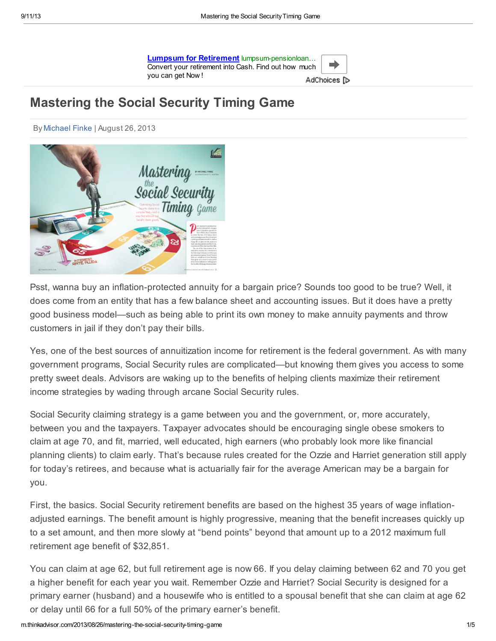| Lumpsum for Retirement lumpsum-pensionloan           |              |  |
|------------------------------------------------------|--------------|--|
| Convert your retirement into Cash. Find out how much |              |  |
| vou can get Now !                                    | AdChoices [D |  |

# Mastering the Social Security Timing Game

By [Michael](http://m.thinkadvisor.com/author/michael-finke) Finke | August 26, 2013



Psst, wanna buy an inflation-protected annuity for a bargain price? Sounds too good to be true? Well, it does come from an entity that has a few balance sheet and accounting issues. But it does have a pretty good business model—such as being able to print its own money to make annuity payments and throw customers in jail if they don't pay their bills.

Yes, one of the best sources of annuitization income for retirement is the federal government. As with many government programs, Social Security rules are complicated—but knowing them gives you access to some pretty sweet deals. Advisors are waking up to the benefits of helping clients maximize their retirement income strategies by wading through arcane Social Security rules.

Social Security claiming strategy is a game between you and the government, or, more accurately, between you and the taxpayers. Taxpayer advocates should be encouraging single obese smokers to claim at age 70, and fit, married, well educated, high earners (who probably look more like financial planning clients) to claim early. That's because rules created for the Ozzie and Harriet generation still apply for today's retirees, and because what is actuarially fair for the average American may be a bargain for you.

First, the basics. Social Security retirement benefits are based on the highest 35 years of wage inflationadjusted earnings. The benefit amount is highly progressive, meaning that the benefit increases quickly up to a set amount, and then more slowly at "bend points" beyond that amount up to a 2012 maximum full retirement age benefit of \$32,851.

You can claim at age 62, but full retirement age is now 66. If you delay claiming between 62 and 70 you get a higher benefit for each year you wait. Remember Ozzie and Harriet? Social Security is designed for a primary earner (husband) and a housewife who is entitled to a spousal benefit that she can claim at age 62 or delay until 66 for a full 50% of the primary earner's benefit.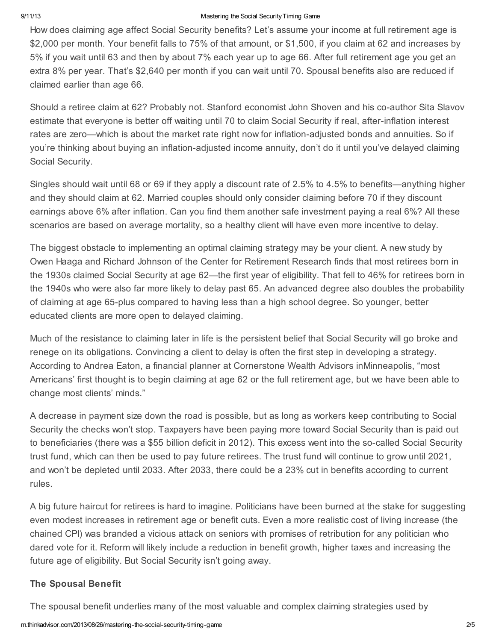#### 9/11/13 **Mastering the Social Security Timing Game**

How does claiming age affect Social Security benefits? Let's assume your income at full retirement age is \$2,000 per month. Your benefit falls to 75% of that amount, or \$1,500, if you claim at 62 and increases by 5% if you wait until 63 and then by about 7% each year up to age 66. After full retirement age you get an extra 8% per year. That's \$2,640 per month if you can wait until 70. Spousal benefits also are reduced if claimed earlier than age 66.

Should a retiree claim at 62? Probably not. Stanford economist John Shoven and his co-author Sita Slavov estimate that everyone is better off waiting until 70 to claim Social Security if real, after-inflation interest rates are zero—which is about the market rate right now for inflation-adjusted bonds and annuities. So if you're thinking about buying an inflation-adjusted income annuity, don't do it until you've delayed claiming Social Security.

Singles should wait until 68 or 69 if they apply a discount rate of 2.5% to 4.5% to benefits—anything higher and they should claim at 62. Married couples should only consider claiming before 70 if they discount earnings above 6% after inflation. Can you find them another safe investment paying a real 6%? All these scenarios are based on average mortality, so a healthy client will have even more incentive to delay.

The biggest obstacle to implementing an optimal claiming strategy may be your client. A new study by Owen Haaga and Richard Johnson of the Center for Retirement Research finds that most retirees born in the 1930s claimed Social Security at age 62—the first year of eligibility. That fell to 46% for retirees born in the 1940s who were also far more likely to delay past 65. An advanced degree also doubles the probability of claiming at age 65-plus compared to having less than a high school degree. So younger, better educated clients are more open to delayed claiming.

Much of the resistance to claiming later in life is the persistent belief that Social Security will go broke and renege on its obligations. Convincing a client to delay is often the first step in developing a strategy. According to Andrea Eaton, a financial planner at Cornerstone Wealth Advisors inMinneapolis, "most Americans' first thought is to begin claiming at age 62 or the full retirement age, but we have been able to change most clients' minds."

A decrease in payment size down the road is possible, but as long as workers keep contributing to Social Security the checks won't stop. Taxpayers have been paying more toward Social Security than is paid out to beneficiaries (there was a \$55 billion deficit in 2012). This excess went into the so-called Social Security trust fund, which can then be used to pay future retirees. The trust fund will continue to grow until 2021, and won't be depleted until 2033. After 2033, there could be a 23% cut in benefits according to current rules.

A big future haircut for retirees is hard to imagine. Politicians have been burned at the stake for suggesting even modest increases in retirement age or benefit cuts. Even a more realistic cost of living increase (the chained CPI) was branded a vicious attack on seniors with promises of retribution for any politician who dared vote for it. Reform will likely include a reduction in benefit growth, higher taxes and increasing the future age of eligibility. But Social Security isn't going away.

## The Spousal Benefit

The spousal benefit underlies many of the most valuable and complex claiming strategies used by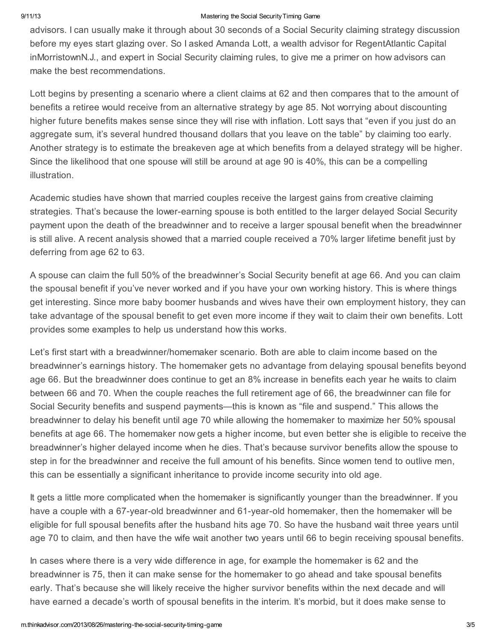#### 9/11/13 **Mastering the Social Security Timing Game**

advisors. I can usually make it through about 30 seconds of a Social Security claiming strategy discussion before my eyes start glazing over. So I asked Amanda Lott, a wealth advisor for RegentAtlantic Capital inMorristownN.J., and expert in Social Security claiming rules, to give me a primer on how advisors can make the best recommendations.

Lott begins by presenting a scenario where a client claims at 62 and then compares that to the amount of benefits a retiree would receive from an alternative strategy by age 85. Not worrying about discounting higher future benefits makes sense since they will rise with inflation. Lott says that "even if you just do an aggregate sum, it's several hundred thousand dollars that you leave on the table" by claiming too early. Another strategy is to estimate the breakeven age at which benefits from a delayed strategy will be higher. Since the likelihood that one spouse will still be around at age 90 is 40%, this can be a compelling illustration.

Academic studies have shown that married couples receive the largest gains from creative claiming strategies. That's because the lower-earning spouse is both entitled to the larger delayed Social Security payment upon the death of the breadwinner and to receive a larger spousal benefit when the breadwinner is still alive. A recent analysis showed that a married couple received a 70% larger lifetime benefit just by deferring from age 62 to 63.

A spouse can claim the full 50% of the breadwinner's Social Security benefit at age 66. And you can claim the spousal benefit if you've never worked and if you have your own working history. This is where things get interesting. Since more baby boomer husbands and wives have their own employment history, they can take advantage of the spousal benefit to get even more income if they wait to claim their own benefits. Lott provides some examples to help us understand how this works.

Let's first start with a breadwinner/homemaker scenario. Both are able to claim income based on the breadwinner's earnings history. The homemaker gets no advantage from delaying spousal benefits beyond age 66. But the breadwinner does continue to get an 8% increase in benefits each year he waits to claim between 66 and 70. When the couple reaches the full retirement age of 66, the breadwinner can file for Social Security benefits and suspend payments—this is known as "file and suspend." This allows the breadwinner to delay his benefit until age 70 while allowing the homemaker to maximize her 50% spousal benefits at age 66. The homemaker now gets a higher income, but even better she is eligible to receive the breadwinner's higher delayed income when he dies. That's because survivor benefits allow the spouse to step in for the breadwinner and receive the full amount of his benefits. Since women tend to outlive men, this can be essentially a significant inheritance to provide income security into old age.

It gets a little more complicated when the homemaker is significantly younger than the breadwinner. If you have a couple with a 67-year-old breadwinner and 61-year-old homemaker, then the homemaker will be eligible for full spousal benefits after the husband hits age 70. So have the husband wait three years until age 70 to claim, and then have the wife wait another two years until 66 to begin receiving spousal benefits.

In cases where there is a very wide difference in age, for example the homemaker is 62 and the breadwinner is 75, then it can make sense for the homemaker to go ahead and take spousal benefits early. That's because she will likely receive the higher survivor benefits within the next decade and will have earned a decade's worth of spousal benefits in the interim. It's morbid, but it does make sense to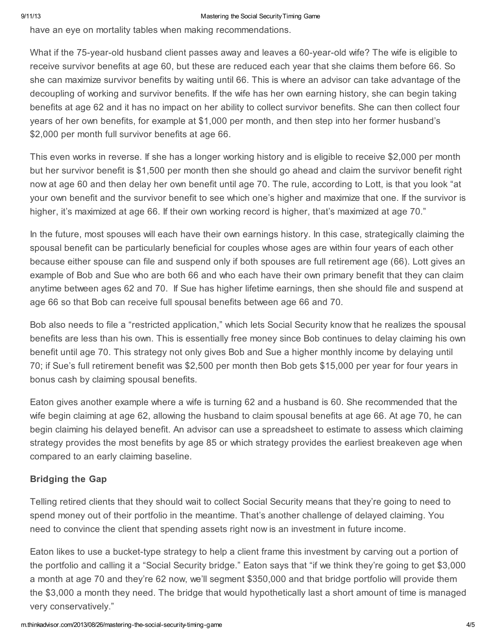have an eye on mortality tables when making recommendations.

What if the 75-year-old husband client passes away and leaves a 60-year-old wife? The wife is eligible to receive survivor benefits at age 60, but these are reduced each year that she claims them before 66. So she can maximize survivor benefits by waiting until 66. This is where an advisor can take advantage of the decoupling of working and survivor benefits. If the wife has her own earning history, she can begin taking benefits at age 62 and it has no impact on her ability to collect survivor benefits. She can then collect four years of her own benefits, for example at \$1,000 per month, and then step into her former husband's \$2,000 per month full survivor benefits at age 66.

This even works in reverse. If she has a longer working history and is eligible to receive \$2,000 per month but her survivor benefit is \$1,500 per month then she should go ahead and claim the survivor benefit right now at age 60 and then delay her own benefit until age 70. The rule, according to Lott, is that you look "at your own benefit and the survivor benefit to see which one's higher and maximize that one. If the survivor is higher, it's maximized at age 66. If their own working record is higher, that's maximized at age 70."

In the future, most spouses will each have their own earnings history. In this case, strategically claiming the spousal benefit can be particularly beneficial for couples whose ages are within four years of each other because either spouse can file and suspend only if both spouses are full retirement age (66). Lott gives an example of Bob and Sue who are both 66 and who each have their own primary benefit that they can claim anytime between ages 62 and 70. If Sue has higher lifetime earnings, then she should file and suspend at age 66 so that Bob can receive full spousal benefits between age 66 and 70.

Bob also needs to file a "restricted application," which lets Social Security know that he realizes the spousal benefits are less than his own. This is essentially free money since Bob continues to delay claiming his own benefit until age 70. This strategy not only gives Bob and Sue a higher monthly income by delaying until 70; if Sue's full retirement benefit was \$2,500 per month then Bob gets \$15,000 per year for four years in bonus cash by claiming spousal benefits.

Eaton gives another example where a wife is turning 62 and a husband is 60. She recommended that the wife begin claiming at age 62, allowing the husband to claim spousal benefits at age 66. At age 70, he can begin claiming his delayed benefit. An advisor can use a spreadsheet to estimate to assess which claiming strategy provides the most benefits by age 85 or which strategy provides the earliest breakeven age when compared to an early claiming baseline.

## Bridging the Gap

Telling retired clients that they should wait to collect Social Security means that they're going to need to spend money out of their portfolio in the meantime. That's another challenge of delayed claiming. You need to convince the client that spending assets right now is an investment in future income.

Eaton likes to use a bucket-type strategy to help a client frame this investment by carving out a portion of the portfolio and calling it a "Social Security bridge." Eaton says that "if we think they're going to get \$3,000 a month at age 70 and they're 62 now, we'll segment \$350,000 and that bridge portfolio will provide them the \$3,000 a month they need. The bridge that would hypothetically last a short amount of time is managed very conservatively."